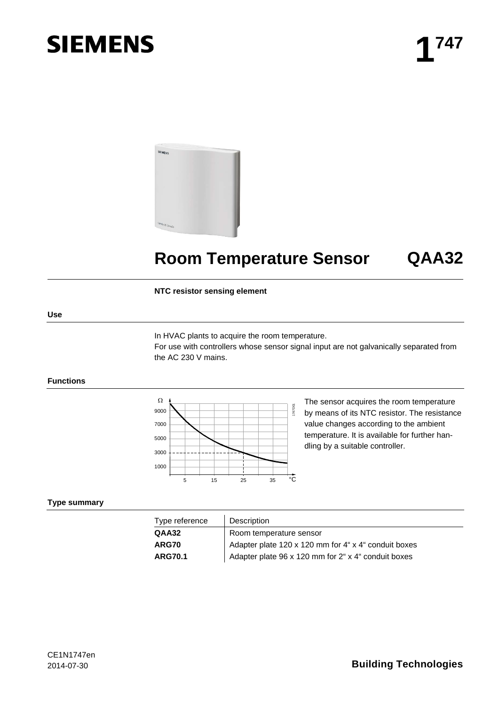# **SIEMENS**



# **Room Temperature Sensor QAA32**

#### **NTC resistor sensing element**

#### **Use**

In HVAC plants to acquire the room temperature.

For use with controllers whose sensor signal input are not galvanically separated from the AC 230 V mains.

#### **Functions**



The sensor acquires the room temperature by means of its NTC resistor. The resistance value changes according to the ambient temperature. It is available for further handling by a suitable controller.

#### **Type summary**

| Type reference | Description                                          |  |
|----------------|------------------------------------------------------|--|
| QAA32          | Room temperature sensor                              |  |
| <b>ARG70</b>   | Adapter plate 120 x 120 mm for 4" x 4" conduit boxes |  |
| <b>ARG70.1</b> | Adapter plate 96 x 120 mm for 2" x 4" conduit boxes  |  |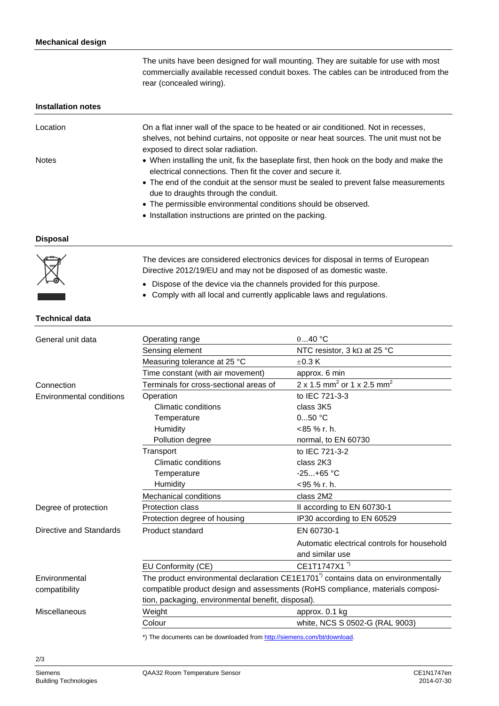The units have been designed for wall mounting. They are suitable for use with most commercially available recessed conduit boxes. The cables can be introduced from the rear (concealed wiring).

#### **Installation notes**

| Location     | On a flat inner wall of the space to be heated or air conditioned. Not in recesses,     |
|--------------|-----------------------------------------------------------------------------------------|
|              | shelves, not behind curtains, not opposite or near heat sources. The unit must not be   |
|              | exposed to direct solar radiation.                                                      |
| <b>Notes</b> | • When installing the unit, fix the baseplate first, then hook on the body and make the |
|              | electrical connections. Then fit the cover and secure it.                               |
|              | • The end of the conduit at the sensor must be sealed to prevent false measurements     |
|              | due to draughts through the conduit.                                                    |
|              | • The permissible environmental conditions should be observed.                          |
|              | • Installation instructions are printed on the packing.                                 |

**Disposal**



The devices are considered electronics devices for disposal in terms of European Directive 2012/19/EU and may not be disposed of as domestic waste.

- Dispose of the device via the channels provided for this purpose.
- Comply with all local and currently applicable laws and regulations.

### **Technical data**

| General unit data        | Operating range                                                                              | $040$ °C                                           |  |
|--------------------------|----------------------------------------------------------------------------------------------|----------------------------------------------------|--|
|                          | Sensing element                                                                              | NTC resistor, 3 kQ at 25 °C                        |  |
|                          | Measuring tolerance at 25 °C                                                                 | $\pm 0.3$ K                                        |  |
|                          | Time constant (with air movement)                                                            | approx. 6 min                                      |  |
| Connection               | Terminals for cross-sectional areas of                                                       | 2 x 1.5 mm <sup>2</sup> or 1 x 2.5 mm <sup>2</sup> |  |
| Environmental conditions | Operation                                                                                    | to IEC 721-3-3                                     |  |
|                          | Climatic conditions                                                                          | class 3K5                                          |  |
|                          | Temperature                                                                                  | $050$ °C                                           |  |
|                          | Humidity                                                                                     | $< 85 \%$ r. h.                                    |  |
|                          | Pollution degree                                                                             | normal, to EN 60730                                |  |
|                          | Transport                                                                                    | to IEC 721-3-2                                     |  |
|                          | Climatic conditions                                                                          | class 2K3                                          |  |
|                          | Temperature                                                                                  | $-25+65$ °C                                        |  |
|                          | Humidity                                                                                     | $<$ 95 % r. h.                                     |  |
|                          | Mechanical conditions                                                                        | class 2M2                                          |  |
| Degree of protection     | <b>Protection class</b>                                                                      | II according to EN 60730-1                         |  |
|                          | Protection degree of housing                                                                 | IP30 according to EN 60529                         |  |
| Directive and Standards  | Product standard                                                                             | EN 60730-1                                         |  |
|                          |                                                                                              | Automatic electrical controls for household        |  |
|                          |                                                                                              | and similar use                                    |  |
|                          | EU Conformity (CE)                                                                           | CE1T1747X1 <sup>"</sup>                            |  |
| Environmental            | The product environmental declaration CE1E1701 <sup>*</sup> contains data on environmentally |                                                    |  |
| compatibility            | compatible product design and assessments (RoHS compliance, materials composi-               |                                                    |  |
|                          | tion, packaging, environmental benefit, disposal).                                           |                                                    |  |
| Miscellaneous            | Weight                                                                                       | approx. 0.1 kg                                     |  |
|                          | Colour                                                                                       | white, NCS S 0502-G (RAL 9003)                     |  |
|                          | *) The documents can be downloaded from http://siemens.com/ht/download                       |                                                    |  |

\*) The documents can be downloaded fro[m http://siemens.com/bt/download.](http://siemens.com/bt/download)